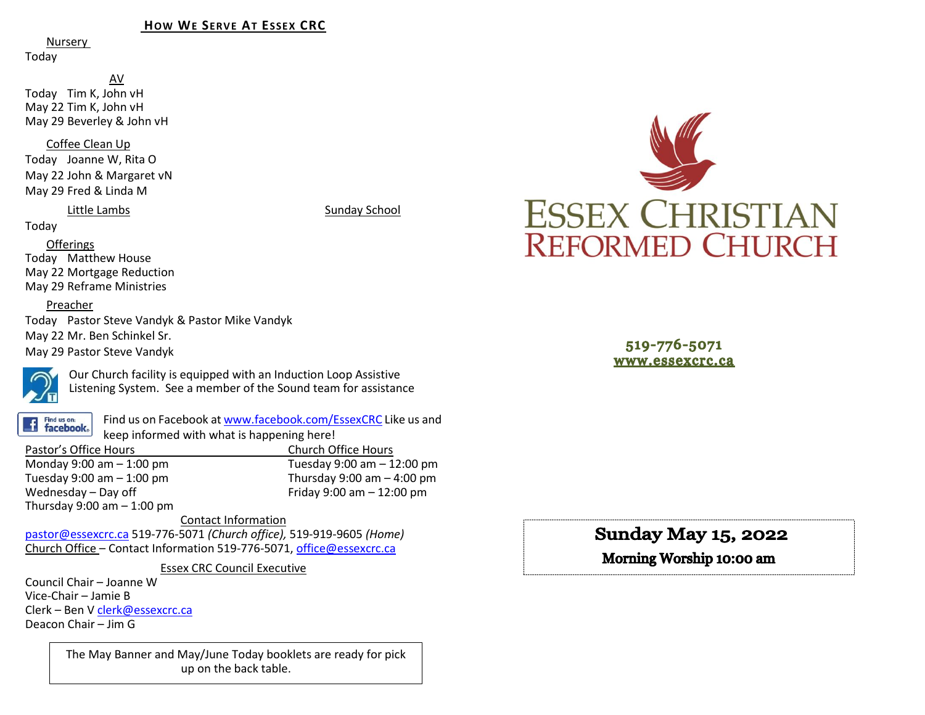## **HOW WE SERVE AT ESSEX CRC**

Nursery

Today

AV Today Tim K, John vH May 22 Tim K, John vH May 29 Beverley & John vH

Coffee Clean Up

Today Joanne W, Rita O May 22 John & Margaret vN May 29 Fred & Linda M

Little Lambs Sunday School

Today

Offerings Today Matthew House May 22 Mortgage Reduction May 29 Reframe Ministries

## Preacher

Today Pastor Steve Vandyk & Pastor Mike Vandyk May 22 Mr. Ben Schinkel Sr. May 29 Pastor Steve Vandyk



Our Church facility is equipped with an Induction Loop Assistive Listening System. See a member of the Sound team for assistance

Find us on: **facebook**.

Find us on Facebook a[t www.facebook.com/EssexCRC](http://www.facebook.com/EssexCRC) Like us and keep informed with what is happening here!

Pastor's Office Hours Church Office Hours Monday 9:00 am – 1:00 pm Tuesday 9:00 am – 12:00 pm Thursday 9:00 am  $-$  4:00 pm Wednesday – Day off  $V = 12:00 \text{ pm}$ Thursday  $9:00$  am  $-1:00$  pm

Contact Information [pastor@essexcrc.ca](mailto:pastor@essexcrc.ca) 519-776-5071 *(Church office),* 519-919-9605 *(Home)* Church Office – Contact Information 519-776-5071[, office@essexcrc.ca](mailto:office@essexcrc.ca)

Essex CRC Council Executive

Council Chair – Joanne W Vice-Chair – Jamie B Clerk – Ben V [clerk@essexcrc.ca](mailto:clerk@essexcrc.ca) Deacon Chair – Jim G

> The May Banner and May/June Today booklets are ready for pick up on the back table.



519-776-5071 www.essexcrc.ca

**Sunday May 15, 2022** 

Morning Worship 10:00 am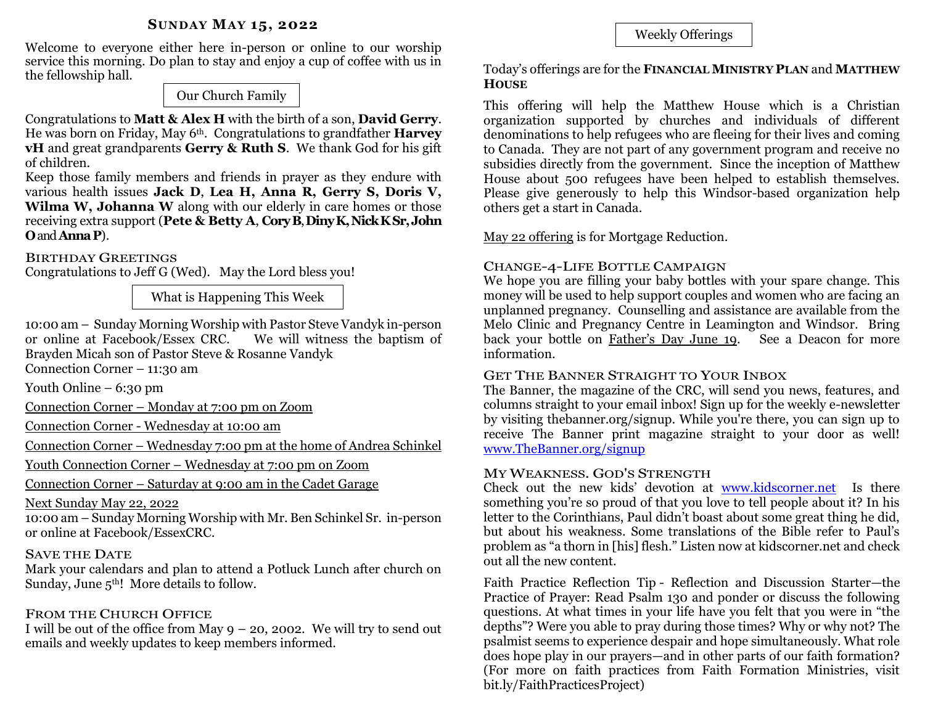## **SUNDAY MAY 15, 2022**

Welcome to everyone either here in-person or online to our worship service this morning. Do plan to stay and enjoy a cup of coffee with us in the fellowship hall.

Our Church Family

Congratulations to **Matt & Alex H** with the birth of a son, **David Gerry**. He was born on Friday, May 6th. Congratulations to grandfather **Harvey vH** and great grandparents **Gerry & Ruth S**. We thank God for his gift of children.

Keep those family members and friends in prayer as they endure with various health issues **Jack D**, **Lea H, Anna R, Gerry S, Doris V, Wilma W, Johanna W** along with our elderly in care homes or those receiving extra support (**Pete & Betty A**, **CoryB**, **DinyK, Nick KSr,John O**and **AnnaP**).

# BIRTHDAY GREETINGS

Congratulations to Jeff G (Wed). May the Lord bless you!

What is Happening This Week

10:00 am – Sunday Morning Worship with Pastor Steve Vandyk in-person or online at Facebook/Essex CRC. We will witness the baptism of Brayden Micah son of Pastor Steve & Rosanne Vandyk

Connection Corner – 11:30 am

Youth Online  $-6:30 \text{ pm}$ 

Connection Corner – Monday at 7:00 pm on Zoom

Connection Corner - Wednesday at 10:00 am

Connection Corner – Wednesday 7:00 pm at the home of Andrea Schinkel

Youth Connection Corner – Wednesday at 7:00 pm on Zoom

Connection Corner – Saturday at 9:00 am in the Cadet Garage

Next Sunday May 22, 2022

10:00 am – Sunday Morning Worship with Mr. Ben Schinkel Sr. in-person or online at Facebook/EssexCRC.

# SAVE THE DATE

Mark your calendars and plan to attend a Potluck Lunch after church on Sunday, June  $5<sup>th</sup>$ ! More details to follow.

# FROM THE CHURCH OFFICE

I will be out of the office from May  $9 - 20$ , 2002. We will try to send out emails and weekly updates to keep members informed.

# Weekly Offerings

Today's offerings are for the **FINANCIAL MINISTRY PLAN** and **MATTHEW HOUSE** 

This offering will help the Matthew House which is a Christian organization supported by churches and individuals of different denominations to help refugees who are fleeing for their lives and coming to Canada. They are not part of any government program and receive no subsidies directly from the government. Since the inception of Matthew House about 500 refugees have been helped to establish themselves. Please give generously to help this Windsor-based organization help others get a start in Canada.

May 22 offering is for Mortgage Reduction.

# CHANGE-4-LIFE BOTTLE CAMPAIGN

We hope you are filling your baby bottles with your spare change. This money will be used to help support couples and women who are facing an unplanned pregnancy. Counselling and assistance are available from the Melo Clinic and Pregnancy Centre in Leamington and Windsor. Bring back your bottle on Father's Day June 19. See a Deacon for more information.

# GET THE BANNER STRAIGHT TO YOUR INBOX

The Banner, the magazine of the CRC, will send you news, features, and columns straight to your email inbox! Sign up for the weekly e-newsletter by visiting thebanner.org/signup. While you're there, you can sign up to receive The Banner print magazine straight to your door as well! [www.TheBanner.org/signup](http://www.thebanner.org/signup) 

# MY WEAKNESS. GOD'S STRENGTH

Check out the new kids' devotion at [www.kidscorner.net](http://www.kidscorner.net/) Is there something you're so proud of that you love to tell people about it? In his letter to the Corinthians, Paul didn't boast about some great thing he did, but about his weakness. Some translations of the Bible refer to Paul's problem as "a thorn in [his] flesh." Listen now at kidscorner.net and check out all the new content.

Faith Practice Reflection Tip - Reflection and Discussion Starter—the Practice of Prayer: Read Psalm 130 and ponder or discuss the following questions. At what times in your life have you felt that you were in "the depths"? Were you able to pray during those times? Why or why not? The psalmist seems to experience despair and hope simultaneously. What role does hope play in our prayers—and in other parts of our faith formation? (For more on faith practices from Faith Formation Ministries, visit bit.ly/FaithPracticesProject)